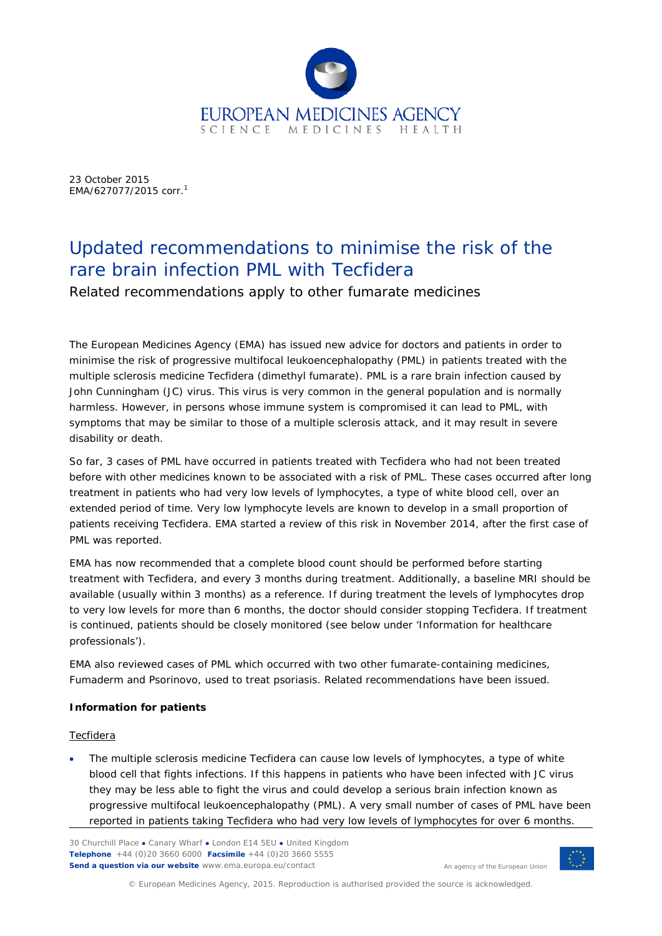

23 October 2015 EMA/627077/2015 corr[.](#page-2-0) 1

# Updated recommendations to minimise the risk of the rare brain infection PML with Tecfidera

Related recommendations apply to other fumarate medicines

The European Medicines Agency (EMA) has issued new advice for doctors and patients in order to minimise the risk of progressive multifocal leukoencephalopathy (PML) in patients treated with the multiple sclerosis medicine Tecfidera (dimethyl fumarate). PML is a rare brain infection caused by John Cunningham (JC) virus. This virus is very common in the general population and is normally harmless. However, in persons whose immune system is compromised it can lead to PML, with symptoms that may be similar to those of a multiple sclerosis attack, and it may result in severe disability or death.

So far, 3 cases of PML have occurred in patients treated with Tecfidera who had not been treated before with other medicines known to be associated with a risk of PML. These cases occurred after long treatment in patients who had very low levels of lymphocytes, a type of white blood cell, over an extended period of time. Very low lymphocyte levels are known to develop in a small proportion of patients receiving Tecfidera. EMA started a review of this risk in November 2014, after the first case of PML was reported.

EMA has now recommended that a complete blood count should be performed before starting treatment with Tecfidera, and every 3 months during treatment. Additionally, a baseline MRI should be available (usually within 3 months) as a reference. If during treatment the levels of lymphocytes drop to very low levels for more than 6 months, the doctor should consider stopping Tecfidera. If treatment is continued, patients should be closely monitored (see below under 'Information for healthcare professionals').

EMA also reviewed cases of PML which occurred with two other fumarate-containing medicines, Fumaderm and Psorinovo, used to treat psoriasis. Related recommendations have been issued.

## **Information for patients**

## Tecfidera

The multiple sclerosis medicine Tecfidera can cause low levels of lymphocytes, a type of white blood cell that fights infections. If this happens in patients who have been infected with JC virus they may be less able to fight the virus and could develop a serious brain infection known as progressive multifocal leukoencephalopathy (PML). A very small number of cases of PML have been reported in patients taking Tecfidera who had very low levels of lymphocytes for over 6 months.

30 Churchill Place **●** Canary Wharf **●** London E14 5EU **●** United Kingdom **Telephone** +44 (0)20 3660 6000 **Facsimile** +44 (0)20 3660 5555 **Send a question via our website** www.ema.europa.eu/contact



© European Medicines Agency, 2015. Reproduction is authorised provided the source is acknowledged.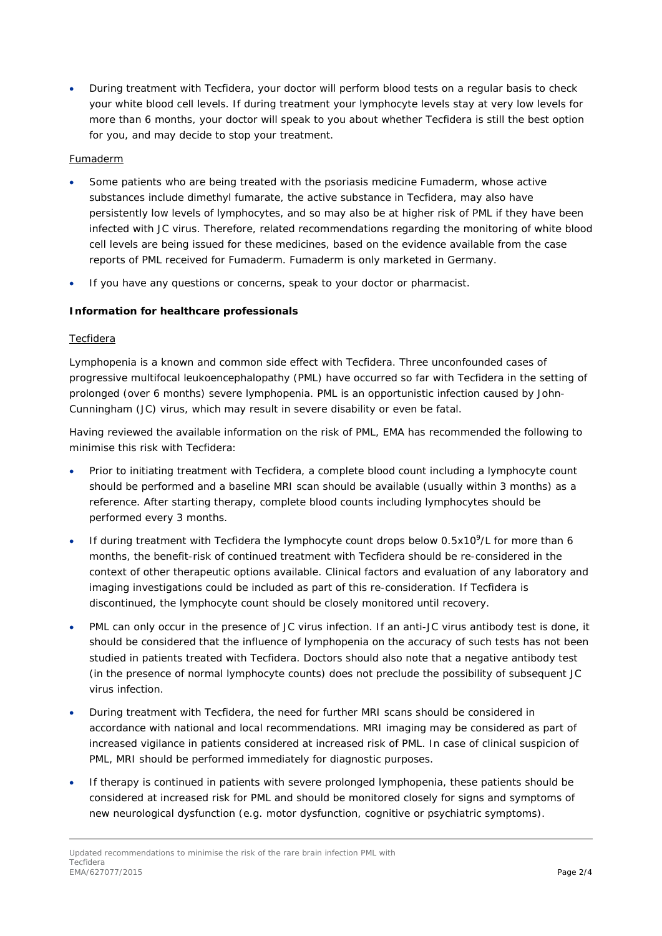• During treatment with Tecfidera, your doctor will perform blood tests on a regular basis to check your white blood cell levels. If during treatment your lymphocyte levels stay at very low levels for more than 6 months, your doctor will speak to you about whether Tecfidera is still the best option for you, and may decide to stop your treatment.

## Fumaderm

- Some patients who are being treated with the psoriasis medicine Fumaderm, whose active substances include dimethyl fumarate, the active substance in Tecfidera, may also have persistently low levels of lymphocytes, and so may also be at higher risk of PML if they have been infected with JC virus. Therefore, related recommendations regarding the monitoring of white blood cell levels are being issued for these medicines, based on the evidence available from the case reports of PML received for Fumaderm. Fumaderm is only marketed in Germany.
- If you have any questions or concerns, speak to your doctor or pharmacist.

## **Information for healthcare professionals**

## Tecfidera

Lymphopenia is a known and common side effect with Tecfidera. Three unconfounded cases of progressive multifocal leukoencephalopathy (PML) have occurred so far with Tecfidera in the setting of prolonged (over 6 months) severe lymphopenia. PML is an opportunistic infection caused by John-Cunningham (JC) virus, which may result in severe disability or even be fatal.

Having reviewed the available information on the risk of PML, EMA has recommended the following to minimise this risk with Tecfidera:

- Prior to initiating treatment with Tecfidera, a complete blood count including a lymphocyte count should be performed and a baseline MRI scan should be available (usually within 3 months) as a reference. After starting therapy, complete blood counts including lymphocytes should be performed every 3 months.
- If during treatment with Tecfidera the lymphocyte count drops below  $0.5x10<sup>9</sup>/L$  for more than 6 months, the benefit-risk of continued treatment with Tecfidera should be re-considered in the context of other therapeutic options available. Clinical factors and evaluation of any laboratory and imaging investigations could be included as part of this re-consideration. If Tecfidera is discontinued, the lymphocyte count should be closely monitored until recovery.
- PML can only occur in the presence of JC virus infection. If an anti-JC virus antibody test is done, it should be considered that the influence of lymphopenia on the accuracy of such tests has not been studied in patients treated with Tecfidera. Doctors should also note that a negative antibody test (in the presence of normal lymphocyte counts) does not preclude the possibility of subsequent JC virus infection.
- During treatment with Tecfidera, the need for further MRI scans should be considered in accordance with national and local recommendations. MRI imaging may be considered as part of increased vigilance in patients considered at increased risk of PML. In case of clinical suspicion of PML, MRI should be performed immediately for diagnostic purposes.
- If therapy is continued in patients with severe prolonged lymphopenia, these patients should be considered at increased risk for PML and should be monitored closely for signs and symptoms of new neurological dysfunction (e.g. motor dysfunction, cognitive or psychiatric symptoms).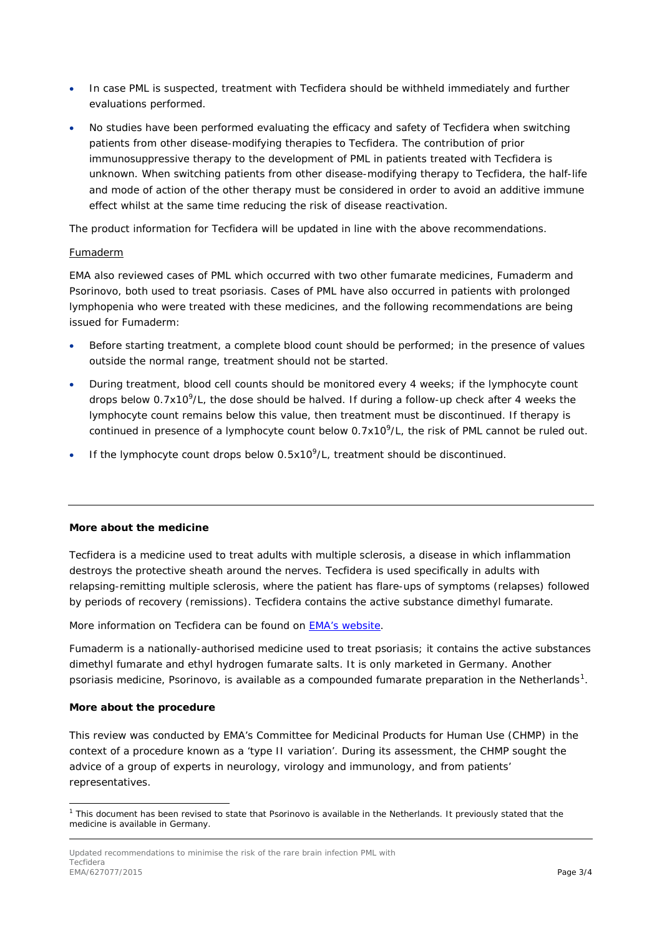- In case PML is suspected, treatment with Tecfidera should be withheld immediately and further evaluations performed.
- No studies have been performed evaluating the efficacy and safety of Tecfidera when switching patients from other disease-modifying therapies to Tecfidera. The contribution of prior immunosuppressive therapy to the development of PML in patients treated with Tecfidera is unknown. When switching patients from other disease-modifying therapy to Tecfidera, the half-life and mode of action of the other therapy must be considered in order to avoid an additive immune effect whilst at the same time reducing the risk of disease reactivation.

The product information for Tecfidera will be updated in line with the above recommendations.

## Fumaderm

EMA also reviewed cases of PML which occurred with two other fumarate medicines, Fumaderm and Psorinovo, both used to treat psoriasis. Cases of PML have also occurred in patients with prolonged lymphopenia who were treated with these medicines, and the following recommendations are being issued for Fumaderm:

- Before starting treatment, a complete blood count should be performed; in the presence of values outside the normal range, treatment should not be started.
- During treatment, blood cell counts should be monitored every 4 weeks; if the lymphocyte count drops below 0.7x10<sup>9</sup>/L, the dose should be halved. If during a follow-up check after 4 weeks the lymphocyte count remains below this value, then treatment must be discontinued. If therapy is continued in presence of a lymphocyte count below 0.7x10<sup>9</sup>/L, the risk of PML cannot be ruled out.
- If the lymphocyte count drops below 0.5x10<sup>9</sup>/L, treatment should be discontinued.

## **More about the medicine**

Tecfidera is a medicine used to treat adults with multiple sclerosis, a disease in which inflammation destroys the protective sheath around the nerves. Tecfidera is used specifically in adults with relapsing-remitting multiple sclerosis, where the patient has flare-ups of symptoms (relapses) followed by periods of recovery (remissions). Tecfidera contains the active substance dimethyl fumarate.

More information on Tecfidera can be found on EMA's [website.](http://www.ema.europa.eu/ema/index.jsp?curl=pages/medicines/human/medicines/002601/human_med_001657.jsp&mid=WC0b01ac058001d124)

<span id="page-2-0"></span>Fumaderm is a nationally-authorised medicine used to treat psoriasis; it contains the active substances dimethyl fumarate and ethyl hydrogen fumarate salts. It is only marketed in Germany. Another psoriasis medicine, Psorinovo, is available as a compounded fumarate preparation in the Netherlands<sup>[1](#page-2-1)</sup>.

## **More about the procedure**

This review was conducted by EMA's Committee for Medicinal Products for Human Use (CHMP) in the context of a procedure known as a 'type II variation'. During its assessment, the CHMP sought the advice of a group of experts in neurology, virology and immunology, and from patients' representatives.

<span id="page-2-1"></span> $1$  This document has been revised to state that Psorinovo is available in the Netherlands. It previously stated that the medicine is available in Germany. ł

Updated recommendations to minimise the risk of the rare brain infection PML with Tecfidera EMA/627077/2015 **Page 3/4**